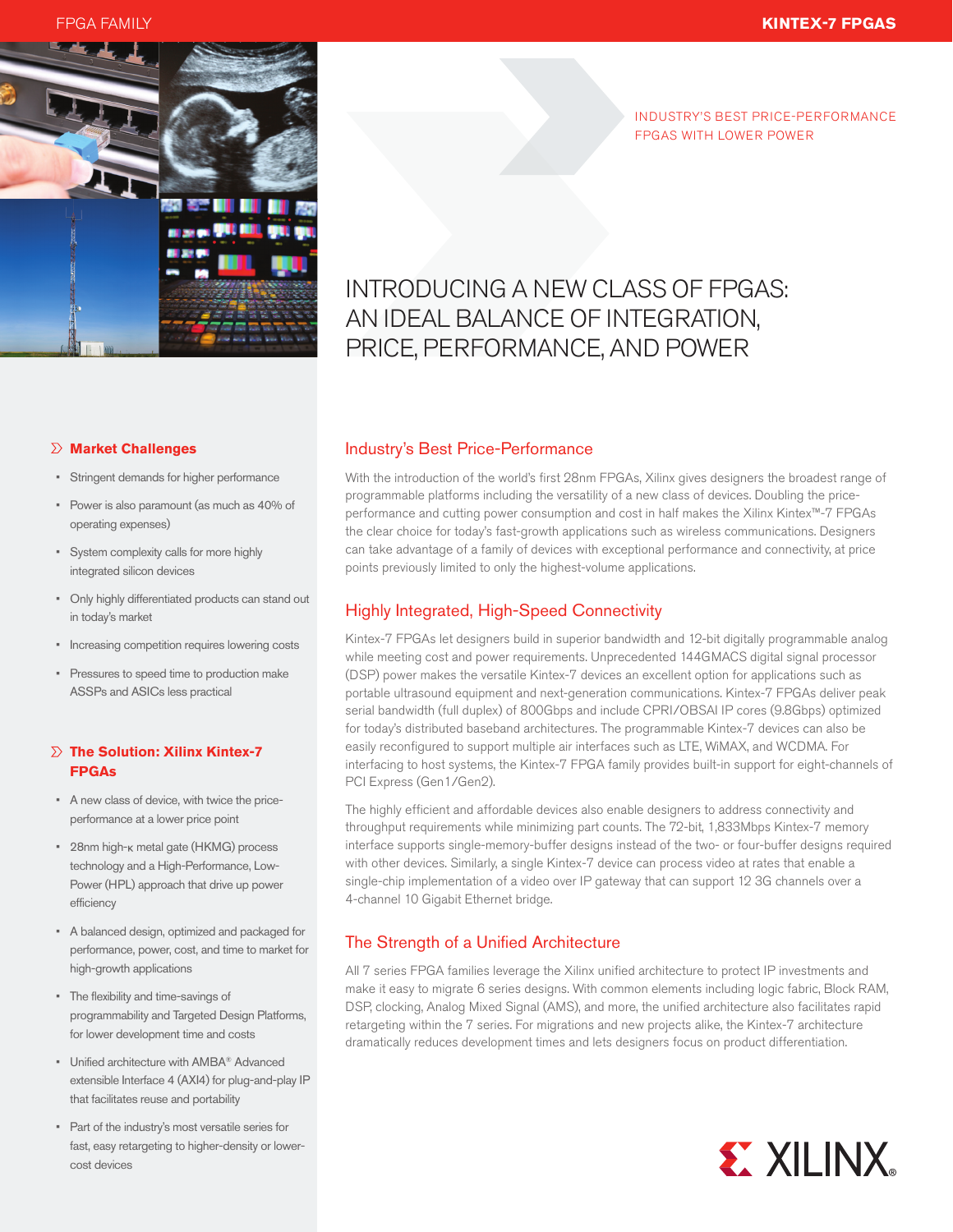FPGA FAMILY **KINTEX-7 FPGAS**



INDUSTRY'S BEST PRICE-PERFORMANCE FPGAS WITH LOWER POWER

# INTRODUCING A NEW CLASS OF FPGAS: AN IDEAL BALANCE OF INTEGRATION, PRICE, PERFORMANCE, AND POWER

## **Market Challenges**

- Stringent demands for higher performance
- • Power is also paramount (as much as 40% of operating expenses)
- • System complexity calls for more highly integrated silicon devices
- • Only highly differentiated products can stand out in today's market
- Increasing competition requires lowering costs
- Pressures to speed time to production make ASSPs and ASICs less practical

# **The Solution: Xilinx Kintex-7 FPGAs**

- • A new class of device, with twice the priceperformance at a lower price point
- 28nm high- $\kappa$  metal gate (HKMG) process technology and a High-Performance, Low-Power (HPL) approach that drive up power efficiency
- • A balanced design, optimized and packaged for performance, power, cost, and time to market for high-growth applications
- • The flexibility and time-savings of programmability and Targeted Design Platforms, for lower development time and costs
- • Unified architecture with AMBA® Advanced extensible Interface 4 (AXI4) for plug-and-play IP that facilitates reuse and portability
- • Part of the industry's most versatile series for fast, easy retargeting to higher-density or lowercost devices

# Industry's Best Price-Performance

With the introduction of the world's first 28nm FPGAs, Xilinx gives designers the broadest range of programmable platforms including the versatility of a new class of devices. Doubling the priceperformance and cutting power consumption and cost in half makes the Xilinx Kintex™-7 FPGAs the clear choice for today's fast-growth applications such as wireless communications. Designers can take advantage of a family of devices with exceptional performance and connectivity, at price points previously limited to only the highest-volume applications.

# Highly Integrated, High-Speed Connectivity

Kintex-7 FPGAs let designers build in superior bandwidth and 12-bit digitally programmable analog while meeting cost and power requirements. Unprecedented 144GMACS digital signal processor (DSP) power makes the versatile Kintex-7 devices an excellent option for applications such as portable ultrasound equipment and next-generation communications. Kintex-7 FPGAs deliver peak serial bandwidth (full duplex) of 800Gbps and include CPRI/OBSAI IP cores (9.8Gbps) optimized for today's distributed baseband architectures. The programmable Kintex-7 devices can also be easily reconfigured to support multiple air interfaces such as LTE, WiMAX, and WCDMA. For interfacing to host systems, the Kintex-7 FPGA family provides built-in support for eight-channels of PCI Express (Gen1/Gen2).

The highly efficient and affordable devices also enable designers to address connectivity and throughput requirements while minimizing part counts. The 72-bit, 1,833Mbps Kintex-7 memory interface supports single-memory-buffer designs instead of the two- or four-buffer designs required with other devices. Similarly, a single Kintex-7 device can process video at rates that enable a single-chip implementation of a video over IP gateway that can support 12 3G channels over a 4-channel 10 Gigabit Ethernet bridge.

# The Strength of a Unified Architecture

All 7 series FPGA families leverage the Xilinx unified architecture to protect IP investments and make it easy to migrate 6 series designs. With common elements including logic fabric, Block RAM, DSP, clocking, Analog Mixed Signal (AMS), and more, the unified architecture also facilitates rapid retargeting within the 7 series. For migrations and new projects alike, the Kintex-7 architecture dramatically reduces development times and lets designers focus on product differentiation.

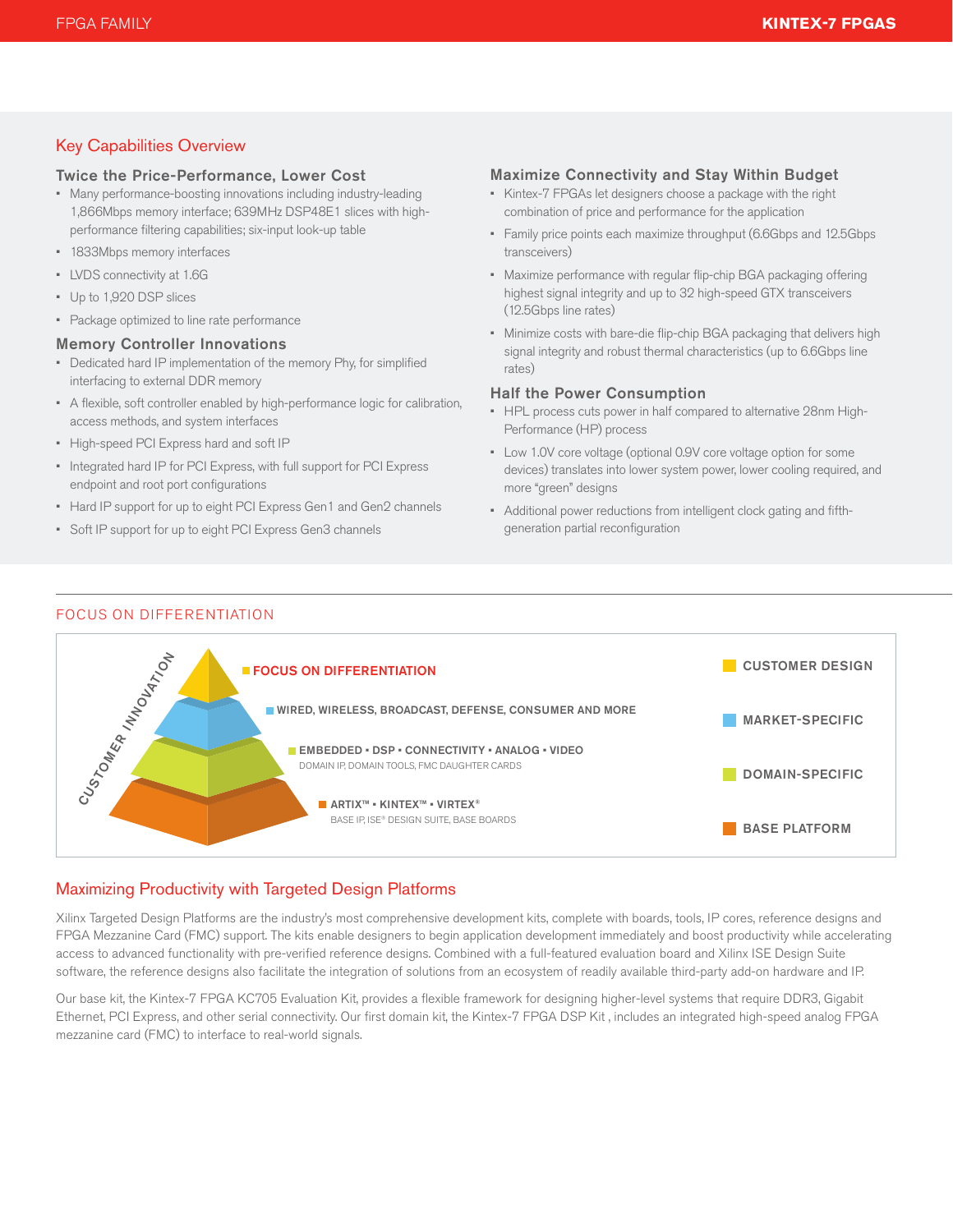# Key Capabilities Overview

#### Twice the Price-Performance, Lower Cost

- Many performance-boosting innovations including industry-leading 1,866Mbps memory interface; 639MHz DSP48E1 slices with highperformance filtering capabilities; six-input look-up table
- • 1833Mbps memory interfaces
- • LVDS connectivity at 1.6G
- • Up to 1,920 DSP slices
- Package optimized to line rate performance

#### Memory Controller Innovations

- • Dedicated hard IP implementation of the memory Phy, for simplified interfacing to external DDR memory
- • A flexible, soft controller enabled by high-performance logic for calibration, access methods, and system interfaces
- • High-speed PCI Express hard and soft IP
- Integrated hard IP for PCI Express, with full support for PCI Express endpoint and root port configurations
- Hard IP support for up to eight PCI Express Gen1 and Gen2 channels
- • Soft IP support for up to eight PCI Express Gen3 channels

#### Maximize Connectivity and Stay Within Budget

- • Kintex-7 FPGAs let designers choose a package with the right combination of price and performance for the application
- Family price points each maximize throughput (6.6Gbps and 12.5Gbps transceivers)
- Maximize performance with regular flip-chip BGA packaging offering highest signal integrity and up to 32 high-speed GTX transceivers (12.5Gbps line rates)
- • Minimize costs with bare-die flip-chip BGA packaging that delivers high signal integrity and robust thermal characteristics (up to 6.6Gbps line rates)

#### Half the Power Consumption

- • HPL process cuts power in half compared to alternative 28nm High-Performance (HP) process
- • Low 1.0V core voltage (optional 0.9V core voltage option for some devices) translates into lower system power, lower cooling required, and more "green" designs
- • Additional power reductions from intelligent clock gating and fifthgeneration partial reconfiguration

### FOCUS ON DIFFERENTIATION



# Maximizing Productivity with Targeted Design Platforms

Xilinx Targeted Design Platforms are the industry's most comprehensive development kits, complete with boards, tools, IP cores, reference designs and FPGA Mezzanine Card (FMC) support. The kits enable designers to begin application development immediately and boost productivity while accelerating access to advanced functionality with pre-verified reference designs. Combined with a full-featured evaluation board and Xilinx ISE Design Suite software, the reference designs also facilitate the integration of solutions from an ecosystem of readily available third-party add-on hardware and IP.

Our base kit, the Kintex-7 FPGA KC705 Evaluation Kit, provides a flexible framework for designing higher-level systems that require DDR3, Gigabit Ethernet, PCI Express, and other serial connectivity. Our first domain kit, the Kintex-7 FPGA DSP Kit , includes an integrated high-speed analog FPGA mezzanine card (FMC) to interface to real-world signals.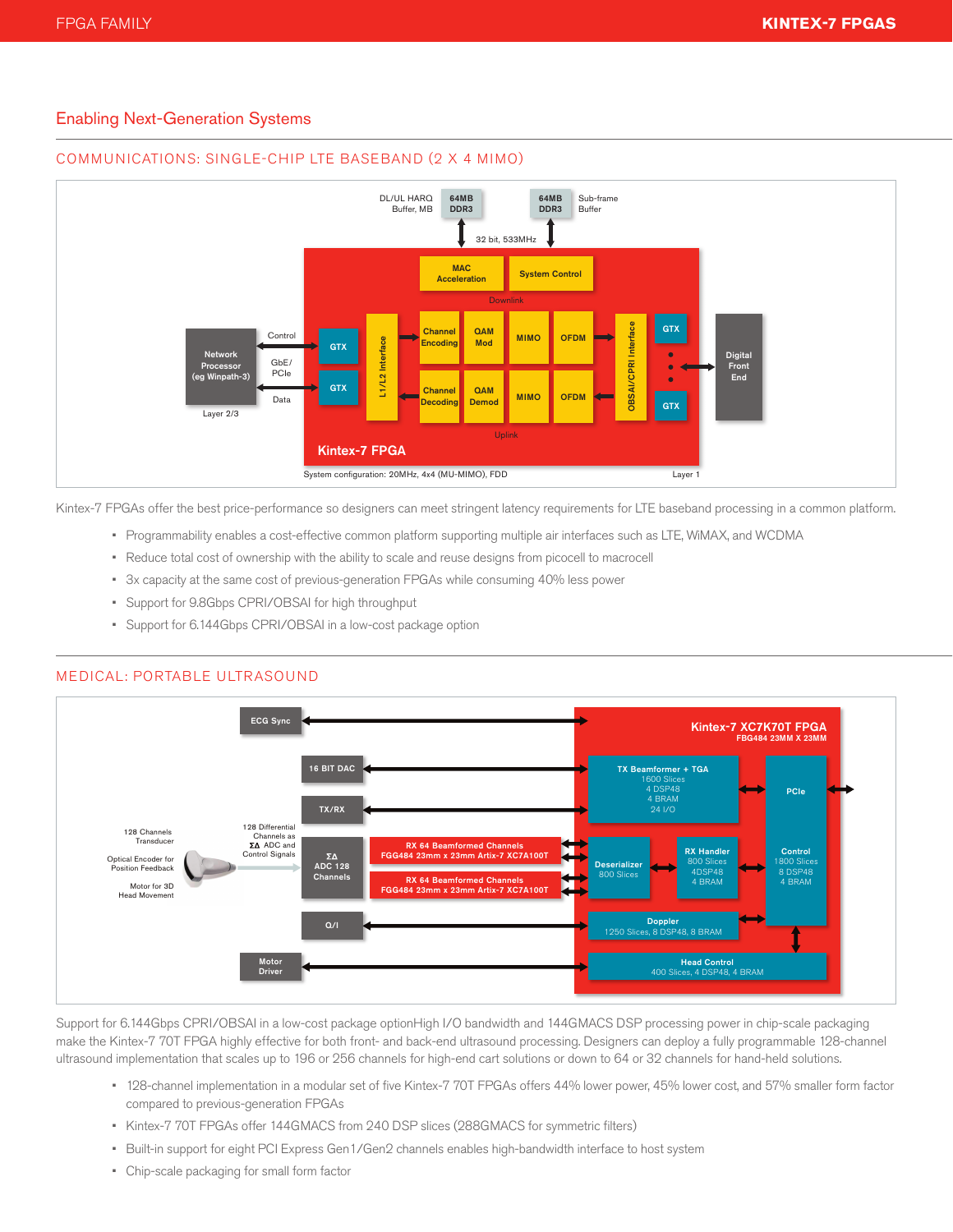# Enabling Next-Generation Systems



#### COMMUNICATIONS: SINGLE-CHIP LTE BASEBAND (2 X 4 MIMO)

Kintex-7 FPGAs offer the best price-performance so designers can meet stringent latency requirements for LTE baseband processing in a common platform.

- • Programmability enables a cost-effective common platform supporting multiple air interfaces such as LTE, WiMAX, and WCDMA
- • Reduce total cost of ownership with the ability to scale and reuse designs from picocell to macrocell
- • 3x capacity at the same cost of previous-generation FPGAs while consuming 40% less power
- • Support for 9.8Gbps CPRI/OBSAI for high throughput
- • Support for 6.144Gbps CPRI/OBSAI in a low-cost package option



Support for 6.144Gbps CPRI/OBSAI in a low-cost package optionHigh I/O bandwidth and 144GMACS DSP processing power in chip-scale packaging make the Kintex-7 70T FPGA highly effective for both front- and back-end ultrasound processing. Designers can deploy a fully programmable 128-channel ultrasound implementation that scales up to 196 or 256 channels for high-end cart solutions or down to 64 or 32 channels for hand-held solutions.

- • 128-channel implementation in a modular set of five Kintex-7 70T FPGAs offers 44% lower power, 45% lower cost, and 57% smaller form factor compared to previous-generation FPGAs
- • Kintex-7 70T FPGAs offer 144GMACS from 240 DSP slices (288GMACS for symmetric filters)
- • Built-in support for eight PCI Express Gen1/Gen2 channels enables high-bandwidth interface to host system
- • Chip-scale packaging for small form factor